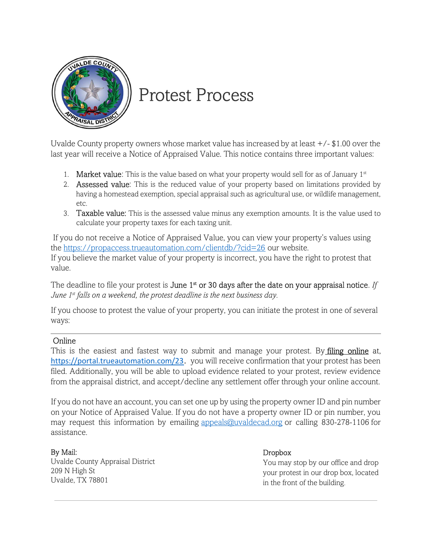

# Protest Process

Uvalde County property owners whose market value has increased by at least  $+/-$  \$1.00 over the last year will receive a Notice of Appraised Value. This notice contains three important values:

- 1. **Market value**: This is the value based on what your property would sell for as of January  $1<sup>st</sup>$
- 2. **Assessed value**: This is the reduced value of your property based on limitations provided by having a homestead exemption, special appraisal such as agricultural use, or wildlife management, etc.
- 3. Taxable value: This is the assessed value minus any exemption amounts. It is the value used to calculate your property taxes for each taxing unit.

 If you do not receive a Notice of Appraised Value, you can view your property's values using the https://propaccess.trueautomation.com/clientdb/?cid=26 our website. If you believe the market value of your property is incorrect, you have the right to protest that value.

The deadline to file your protest is **June 1<sup>st</sup>** or 30 days after the date on your appraisal notice. If June  $1^{st}$  falls on a weekend, the protest deadline is the next business day.

If you choose to protest the value of your property, you can initiate the protest in one of several ways:

#### Online

This is the easiest and fastest way to submit and manage your protest. By filing online at, https://portal.trueautomation.com/23. you will receive confirmation that your protest has been filed. Additionally, you will be able to upload evidence related to your protest, review evidence from the appraisal district, and accept/decline any settlement offer through your online account.

If you do not have an account, you can set one up by using the property owner ID and pin number on your Notice of Appraised Value. If you do not have a property owner ID or pin number, you may request this information by emailing appeals@uvaldecad.org or calling 830-278-1106 for assistance.

#### By Mail:

Uvalde County Appraisal District 209 N High St Uvalde, TX 78801

#### Dropbox

You may stop by our office and drop your protest in our drop box, located in the front of the building.